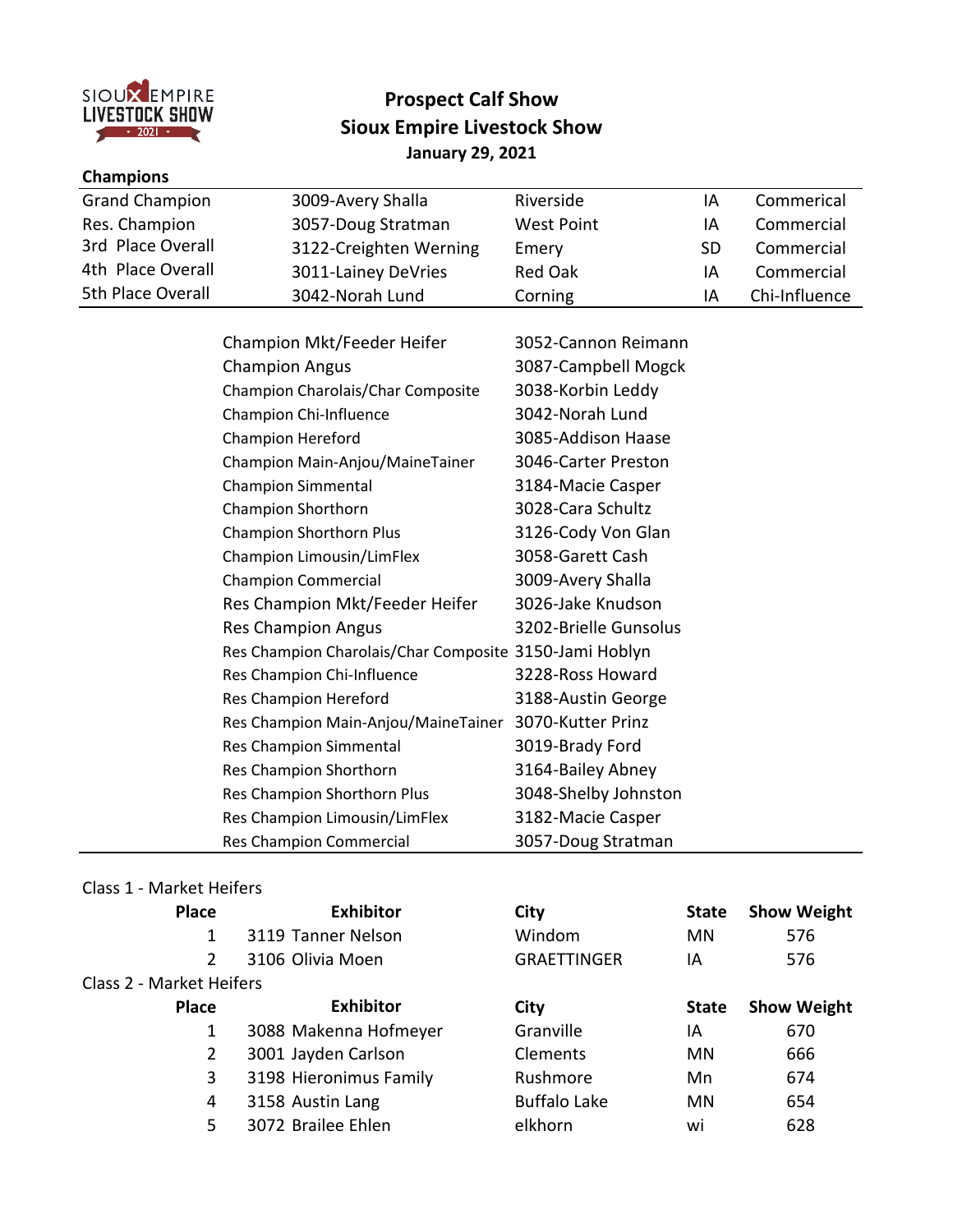

## **Prospect Calf Show Sioux Empire Livestock Show January 29, 2021**

| <b>Champions</b>      |                        |                   |     |               |
|-----------------------|------------------------|-------------------|-----|---------------|
| <b>Grand Champion</b> | 3009-Avery Shalla      | Riverside         | IΑ  | Commerical    |
| Res. Champion         | 3057-Doug Stratman     | <b>West Point</b> | ΙA  | Commercial    |
| 3rd Place Overall     | 3122-Creighten Werning | Emery             | SD. | Commercial    |
| 4th Place Overall     | 3011-Lainey DeVries    | <b>Red Oak</b>    | ΙA  | Commercial    |
| 5th Place Overall     | 3042-Norah Lund        | Corning           | ΙA  | Chi-Influence |

| Champion Mkt/Feeder Heifer                             | 3052-Cannon Reimann   |
|--------------------------------------------------------|-----------------------|
| <b>Champion Angus</b>                                  | 3087-Campbell Mogck   |
| Champion Charolais/Char Composite                      | 3038-Korbin Leddy     |
| Champion Chi-Influence                                 | 3042-Norah Lund       |
| <b>Champion Hereford</b>                               | 3085-Addison Haase    |
| Champion Main-Anjou/MaineTainer                        | 3046-Carter Preston   |
| <b>Champion Simmental</b>                              | 3184-Macie Casper     |
| Champion Shorthorn                                     | 3028-Cara Schultz     |
| <b>Champion Shorthorn Plus</b>                         | 3126-Cody Von Glan    |
| Champion Limousin/LimFlex                              | 3058-Garett Cash      |
| <b>Champion Commercial</b>                             | 3009-Avery Shalla     |
| Res Champion Mkt/Feeder Heifer                         | 3026-Jake Knudson     |
| <b>Res Champion Angus</b>                              | 3202-Brielle Gunsolus |
| Res Champion Charolais/Char Composite 3150-Jami Hoblyn |                       |
| Res Champion Chi-Influence                             | 3228-Ross Howard      |
| Res Champion Hereford                                  | 3188-Austin George    |
| Res Champion Main-Anjou/MaineTainer                    | 3070-Kutter Prinz     |
| Res Champion Simmental                                 | 3019-Brady Ford       |
| Res Champion Shorthorn                                 | 3164-Bailey Abney     |
| Res Champion Shorthorn Plus                            | 3048-Shelby Johnston  |
| Res Champion Limousin/LimFlex                          | 3182-Macie Casper     |
| Res Champion Commercial                                | 3057-Doug Stratman    |

#### Class 1 - Market Heifers

| Place                    | <b>Exhibitor</b>       | City                | <b>State</b> | <b>Show Weight</b> |
|--------------------------|------------------------|---------------------|--------------|--------------------|
|                          | 3119 Tanner Nelson     | Windom              | <b>MN</b>    | 576                |
| $\mathcal{P}$            | 3106 Olivia Moen       | <b>GRAETTINGER</b>  | ΙA           | 576                |
| Class 2 - Market Heifers |                        |                     |              |                    |
| <b>Place</b>             | <b>Exhibitor</b>       | City                | <b>State</b> | <b>Show Weight</b> |
|                          | 3088 Makenna Hofmeyer  | Granville           | ΙA           | 670                |
| $\mathbf{2}^{\prime}$    | 3001 Jayden Carlson    | Clements            | MN           | 666                |
| 3                        | 3198 Hieronimus Family | Rushmore            | Mn           | 674                |
| 4                        | 3158 Austin Lang       | <b>Buffalo Lake</b> | MN           | 654                |
| 5                        | 3072 Brailee Ehlen     | elkhorn             | wi           | 628                |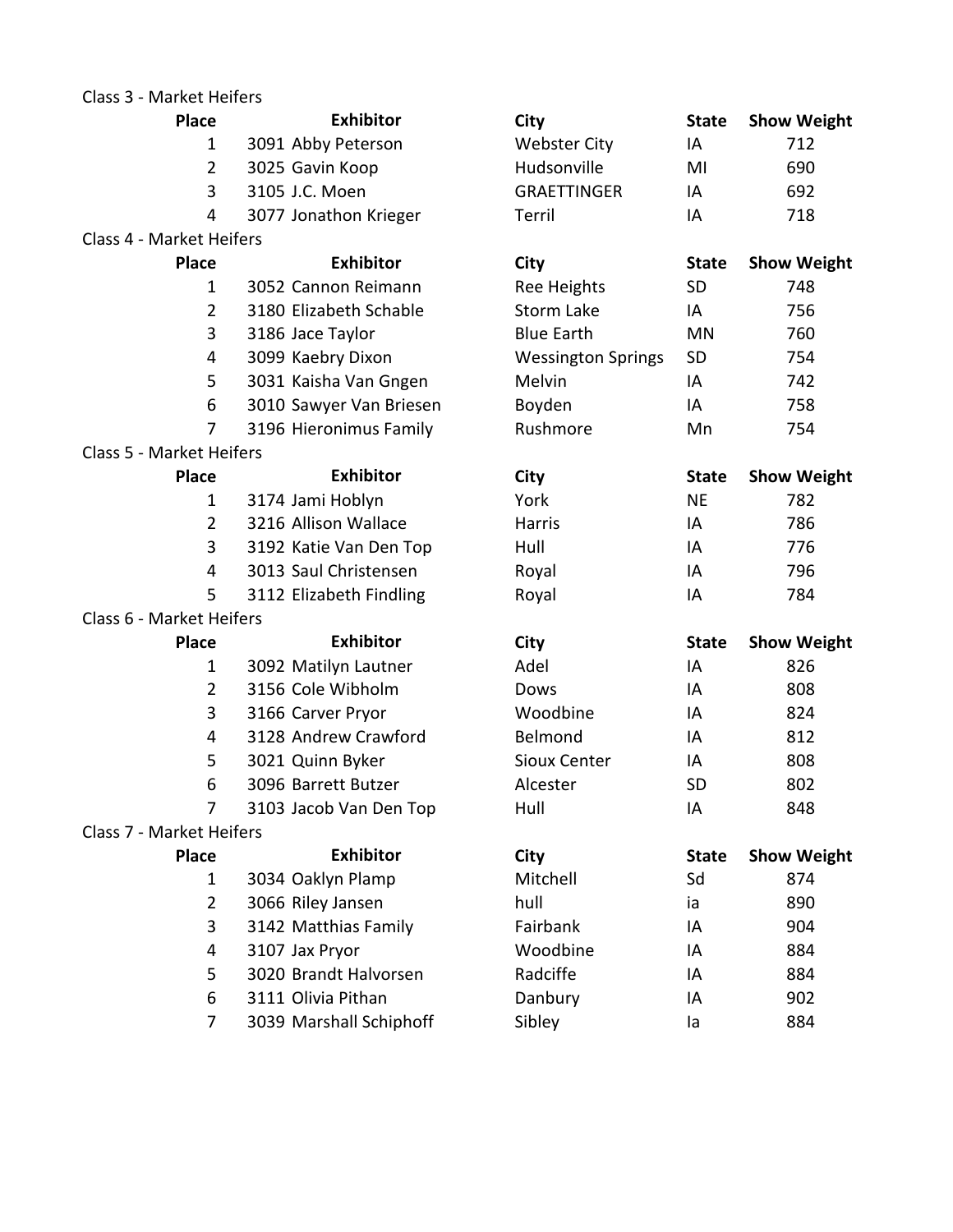## Class 3 - Market Heifers

| <b>Place</b>                    | <b>Exhibitor</b>        | City                      | <b>State</b> | <b>Show Weight</b> |
|---------------------------------|-------------------------|---------------------------|--------------|--------------------|
| $\mathbf{1}$                    | 3091 Abby Peterson      | <b>Webster City</b>       | IA           | 712                |
| $\overline{2}$                  | 3025 Gavin Koop         | Hudsonville               | MI           | 690                |
| 3                               | 3105 J.C. Moen          | <b>GRAETTINGER</b>        | IA           | 692                |
| 4                               | 3077 Jonathon Krieger   | Terril                    | IA           | 718                |
| <b>Class 4 - Market Heifers</b> |                         |                           |              |                    |
| <b>Place</b>                    | <b>Exhibitor</b>        | City                      | <b>State</b> | <b>Show Weight</b> |
| $\mathbf{1}$                    | 3052 Cannon Reimann     | <b>Ree Heights</b>        | <b>SD</b>    | 748                |
| $\overline{2}$                  | 3180 Elizabeth Schable  | <b>Storm Lake</b>         | IA           | 756                |
| 3                               | 3186 Jace Taylor        | <b>Blue Earth</b>         | <b>MN</b>    | 760                |
| 4                               | 3099 Kaebry Dixon       | <b>Wessington Springs</b> | <b>SD</b>    | 754                |
| 5                               | 3031 Kaisha Van Gngen   | Melvin                    | IA           | 742                |
| 6                               | 3010 Sawyer Van Briesen | Boyden                    | IA           | 758                |
| 7                               | 3196 Hieronimus Family  | Rushmore                  | Mn           | 754                |
| <b>Class 5 - Market Heifers</b> |                         |                           |              |                    |
| <b>Place</b>                    | <b>Exhibitor</b>        | <b>City</b>               | <b>State</b> | <b>Show Weight</b> |
| $\mathbf{1}$                    | 3174 Jami Hoblyn        | York                      | <b>NE</b>    | 782                |
| $\overline{2}$                  | 3216 Allison Wallace    | Harris                    | IA           | 786                |
| 3                               | 3192 Katie Van Den Top  | Hull                      | IA           | 776                |
| $\overline{4}$                  | 3013 Saul Christensen   | Royal                     | IA           | 796                |
| 5                               | 3112 Elizabeth Findling | Royal                     | IA           | 784                |
| Class 6 - Market Heifers        |                         |                           |              |                    |
| <b>Place</b>                    | <b>Exhibitor</b>        | <b>City</b>               | <b>State</b> | <b>Show Weight</b> |
| $\mathbf{1}$                    | 3092 Matilyn Lautner    | Adel                      | IA           | 826                |
| $\overline{2}$                  | 3156 Cole Wibholm       | Dows                      | IA           | 808                |
| 3                               | 3166 Carver Pryor       | Woodbine                  | IA           | 824                |
| 4                               | 3128 Andrew Crawford    | Belmond                   | IA           | 812                |
| 5                               | 3021 Quinn Byker        | Sioux Center              | IA           | 808                |
| 6                               | 3096 Barrett Butzer     | Alcester                  | <b>SD</b>    | 802                |
| 7                               | 3103 Jacob Van Den Top  | Hull                      | IA           | 848                |
| Class 7 - Market Heifers        |                         |                           |              |                    |
| <b>Place</b>                    | <b>Exhibitor</b>        | City                      | <b>State</b> | <b>Show Weight</b> |
| $\mathbf{1}$                    | 3034 Oaklyn Plamp       | Mitchell                  | Sd           | 874                |
| $\overline{2}$                  | 3066 Riley Jansen       | hull                      | ia           | 890                |
| 3                               | 3142 Matthias Family    | Fairbank                  | IA           | 904                |
| 4                               | 3107 Jax Pryor          | Woodbine                  | IA           | 884                |
| 5                               | 3020 Brandt Halvorsen   | Radciffe                  | IA           | 884                |
| 6                               | 3111 Olivia Pithan      | Danbury                   | ΙA           | 902                |
| $\overline{7}$                  | 3039 Marshall Schiphoff | Sibley                    | la           | 884                |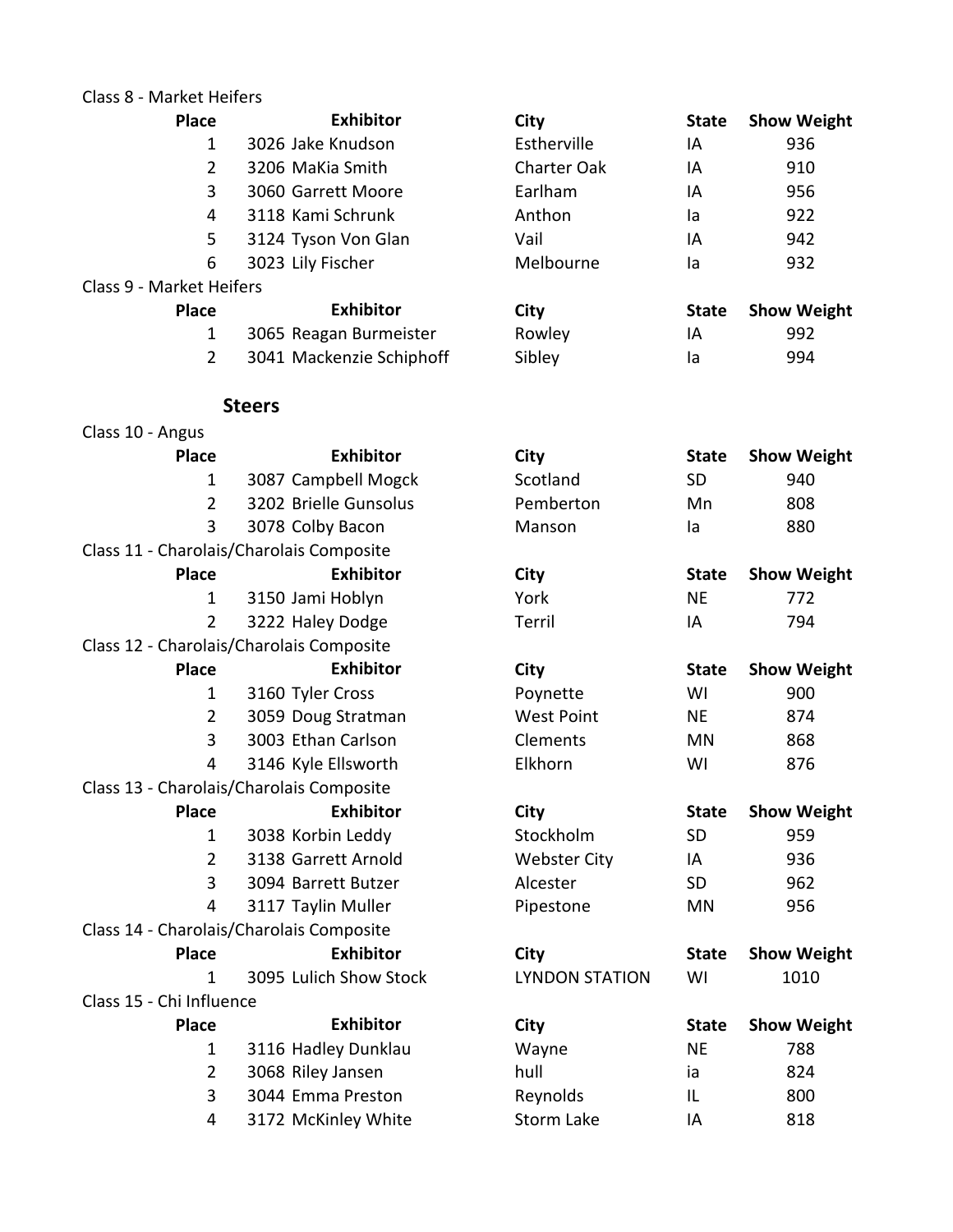|  |  | Class 8 - Market Heifers |  |
|--|--|--------------------------|--|
|--|--|--------------------------|--|

| 17141 NUL 1 1U11 U13     |                                          |                       |              |                    |
|--------------------------|------------------------------------------|-----------------------|--------------|--------------------|
| <b>Place</b>             | <b>Exhibitor</b>                         | City                  | <b>State</b> | <b>Show Weight</b> |
| $\mathbf{1}$             | 3026 Jake Knudson                        | Estherville           | IA           | 936                |
| $\overline{2}$           | 3206 MaKia Smith                         | <b>Charter Oak</b>    | IA           | 910                |
| 3                        | 3060 Garrett Moore                       | Earlham               | IA           | 956                |
| 4                        | 3118 Kami Schrunk                        | Anthon                | la           | 922                |
| 5                        | 3124 Tyson Von Glan                      | Vail                  | IA           | 942                |
| 6                        | 3023 Lily Fischer                        | Melbourne             | la           | 932                |
| Class 9 - Market Heifers |                                          |                       |              |                    |
| <b>Place</b>             | <b>Exhibitor</b>                         | <b>City</b>           | <b>State</b> | <b>Show Weight</b> |
| 1                        | 3065 Reagan Burmeister                   | Rowley                | IA           | 992                |
| $\overline{2}$           | 3041 Mackenzie Schiphoff                 | Sibley                | la           | 994                |
|                          | <b>Steers</b>                            |                       |              |                    |
| Class 10 - Angus         |                                          |                       |              |                    |
| <b>Place</b>             | <b>Exhibitor</b>                         | City                  | <b>State</b> | <b>Show Weight</b> |
| 1                        | 3087 Campbell Mogck                      | Scotland              | <b>SD</b>    | 940                |
| 2                        | 3202 Brielle Gunsolus                    | Pemberton             | Mn           | 808                |
| 3                        | 3078 Colby Bacon                         | Manson                | la           | 880                |
|                          | Class 11 - Charolais/Charolais Composite |                       |              |                    |
| <b>Place</b>             | <b>Exhibitor</b>                         | City                  | <b>State</b> | <b>Show Weight</b> |
| 1                        | 3150 Jami Hoblyn                         | York                  | <b>NE</b>    | 772                |
| $\overline{2}$           | 3222 Haley Dodge                         | Terril                | IA           | 794                |
|                          | Class 12 - Charolais/Charolais Composite |                       |              |                    |
| <b>Place</b>             | <b>Exhibitor</b>                         | City                  | <b>State</b> | <b>Show Weight</b> |
| $\mathbf{1}$             | 3160 Tyler Cross                         | Poynette              | WI           | 900                |
| $\overline{2}$           | 3059 Doug Stratman                       | <b>West Point</b>     | <b>NE</b>    | 874                |
| 3                        | 3003 Ethan Carlson                       | Clements              | MN           | 868                |
| 4                        | 3146 Kyle Ellsworth                      | Elkhorn               | WI           | 876                |
|                          | Class 13 - Charolais/Charolais Composite |                       |              |                    |
| <b>Place</b>             | <b>Exhibitor</b>                         | City                  | <b>State</b> | <b>Show Weight</b> |
| $\mathbf{1}$             | 3038 Korbin Leddy                        | Stockholm             | <b>SD</b>    | 959                |
| $\overline{2}$           | 3138 Garrett Arnold                      | <b>Webster City</b>   | IA           | 936                |
| 3                        | 3094 Barrett Butzer                      | Alcester              | <b>SD</b>    | 962                |
| 4                        | 3117 Taylin Muller                       | Pipestone             | MN           | 956                |
|                          | Class 14 - Charolais/Charolais Composite |                       |              |                    |
| <b>Place</b>             | <b>Exhibitor</b>                         | City                  | <b>State</b> | <b>Show Weight</b> |
| $\mathbf{1}$             | 3095 Lulich Show Stock                   | <b>LYNDON STATION</b> | WI           | 1010               |
| Class 15 - Chi Influence |                                          |                       |              |                    |
| <b>Place</b>             | <b>Exhibitor</b>                         | City                  | <b>State</b> | <b>Show Weight</b> |
| 1                        | 3116 Hadley Dunklau                      | Wayne                 | <b>NE</b>    | 788                |
| $\overline{2}$           | 3068 Riley Jansen                        | hull                  | ia           | 824                |
| 3                        | 3044 Emma Preston                        | Reynolds              | IL           | 800                |
| 4                        | 3172 McKinley White                      | Storm Lake            | IA           | 818                |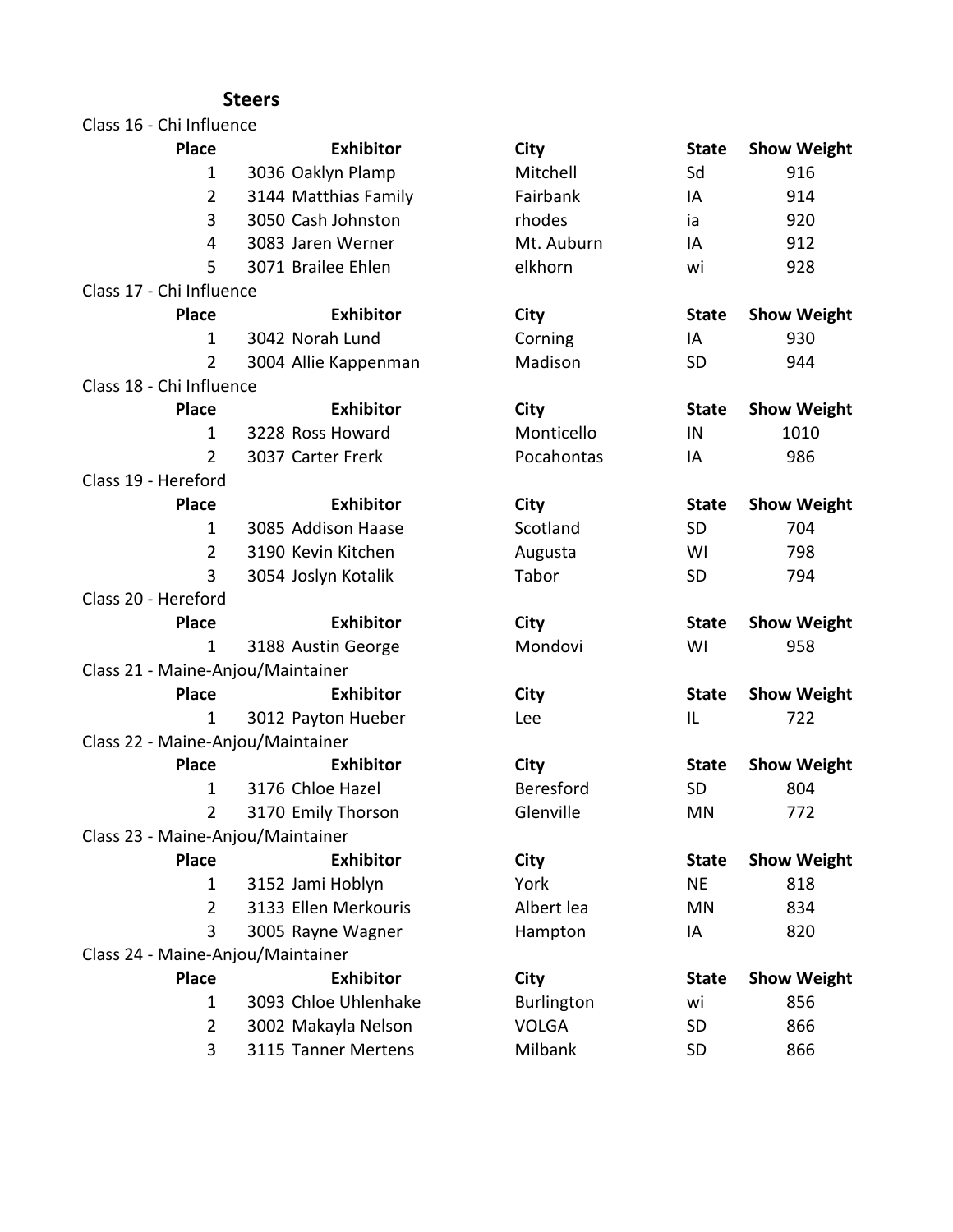| Class 16 - Chi Influence          |                      |
|-----------------------------------|----------------------|
| <b>Place</b>                      | <b>Exhibitor</b>     |
| 1                                 | 3036 Oaklyn Plamp    |
| $\overline{2}$                    | 3144 Matthias Family |
| 3                                 | 3050 Cash Johnston   |
| 4                                 | 3083 Jaren Werner    |
| 5                                 | 3071 Brailee Ehlen   |
| Class 17 - Chi Influence          |                      |
| <b>Place</b>                      | <b>Exhibitor</b>     |
| 1                                 | 3042 Norah Lund      |
| 2                                 | 3004 Allie Kappenman |
| Class 18 - Chi Influence          |                      |
| <b>Place</b>                      | <b>Exhibitor</b>     |
| 1                                 | 3228 Ross Howard     |
| $\overline{2}$                    | 3037 Carter Frerk    |
| Class 19 - Hereford               |                      |
| <b>Place</b>                      | <b>Exhibitor</b>     |
| 1                                 | 3085 Addison Haase   |
| $\overline{2}$                    | 3190 Kevin Kitchen   |
| 3                                 | 3054 Joslyn Kotalik  |
| Class 20 - Hereford               |                      |
| <b>Place</b>                      | <b>Exhibitor</b>     |
| 1                                 | 3188 Austin George   |
| Class 21 - Maine-Anjou/Maintainer |                      |
| <b>Place</b>                      | <b>Exhibitor</b>     |
| 1                                 | 3012 Payton Hueber   |
| Class 22 - Maine-Anjou/Maintainer |                      |
| <b>Place</b>                      | <b>Exhibitor</b>     |
| 1                                 | 3176 Chloe Hazel     |
| $\overline{2}$                    | 3170 Emily Thorson   |
| Class 23 - Maine-Anjou/Maintainer |                      |
| <b>Place</b>                      | <b>Exhibitor</b>     |
| 1                                 | 3152 Jami Hoblyn     |
| $\overline{2}$                    | 3133 Ellen Merkouris |
| 3                                 | 3005 Rayne Wagner    |
| Class 24 - Maine-Anjou/Maintainer |                      |
| <b>Place</b>                      | <b>Exhibitor</b>     |
| 1                                 | 3093 Chloe Uhlenhake |
| $\overline{2}$                    | 3002 Makayla Nelson  |
| 3                                 | 3115 Tanner Mertens  |

| <b>Place</b>   | <b>Exhibitor</b>      | <b>City</b>       | <b>State</b> | <b>Show Weight</b> |
|----------------|-----------------------|-------------------|--------------|--------------------|
| 1              | 3036 Oaklyn Plamp     | Mitchell          | Sd           | 916                |
| $\overline{2}$ | 3144 Matthias Family  | Fairbank          | IA           | 914                |
| 3              | 3050 Cash Johnston    | rhodes            | ia           | 920                |
| $\overline{4}$ | 3083 Jaren Werner     | Mt. Auburn        | IA           | 912                |
| 5              | 3071 Brailee Ehlen    | elkhorn           | wi           | 928                |
| i Influence    |                       |                   |              |                    |
| <b>Place</b>   | <b>Exhibitor</b>      | City              | <b>State</b> | <b>Show Weight</b> |
| 1              | 3042 Norah Lund       | Corning           | IA           | 930                |
| $\overline{2}$ | 3004 Allie Kappenman  | Madison           | SD           | 944                |
| i Influence    |                       |                   |              |                    |
| <b>Place</b>   | <b>Exhibitor</b>      | City              | <b>State</b> | <b>Show Weight</b> |
| $\mathbf{1}$   | 3228 Ross Howard      | Monticello        | IN           | 1010               |
| $\overline{2}$ | 3037 Carter Frerk     | Pocahontas        | IA           | 986                |
| reford!        |                       |                   |              |                    |
| <b>Place</b>   | <b>Exhibitor</b>      | City              | <b>State</b> | <b>Show Weight</b> |
| $\mathbf{1}$   | 3085 Addison Haase    | Scotland          | SD           | 704                |
| $\overline{2}$ | 3190 Kevin Kitchen    | Augusta           | WI           | 798                |
| 3              | 3054 Joslyn Kotalik   | Tabor             | SD           | 794                |
| reford!        |                       |                   |              |                    |
| <b>Place</b>   | <b>Exhibitor</b>      | <b>City</b>       | <b>State</b> | <b>Show Weight</b> |
| 1              | 3188 Austin George    | Mondovi           | WI           | 958                |
|                | aine-Anjou/Maintainer |                   |              |                    |
| <b>Place</b>   | <b>Exhibitor</b>      | City              | <b>State</b> | <b>Show Weight</b> |
| 1              | 3012 Payton Hueber    | Lee               | IL           | 722                |
|                | aine-Anjou/Maintainer |                   |              |                    |
| <b>Place</b>   | <b>Exhibitor</b>      | City              | <b>State</b> | <b>Show Weight</b> |
| $\mathbf{1}$   | 3176 Chloe Hazel      | <b>Beresford</b>  | SD           | 804                |
| $\overline{2}$ | 3170 Emily Thorson    | Glenville         | <b>MN</b>    | 772                |
|                | aine-Anjou/Maintainer |                   |              |                    |
| <b>Place</b>   | <b>Exhibitor</b>      | City              | <b>State</b> | <b>Show Weight</b> |
| 1              | 3152 Jami Hoblyn      | York              | <b>NE</b>    | 818                |
| $\overline{2}$ | 3133 Ellen Merkouris  | Albert lea        | <b>MN</b>    | 834                |
| 3              | 3005 Rayne Wagner     | Hampton           | IA           | 820                |
|                | aine-Anjou/Maintainer |                   |              |                    |
| Place          | <b>Exhibitor</b>      | City              | <b>State</b> | <b>Show Weight</b> |
| 1              | 3093 Chloe Uhlenhake  | <b>Burlington</b> | wi           | 856                |
| $\overline{2}$ | 3002 Makayla Nelson   | <b>VOLGA</b>      | SD           | 866                |
| 3              | 3115 Tanner Mertens   | Milbank           | SD           | 866                |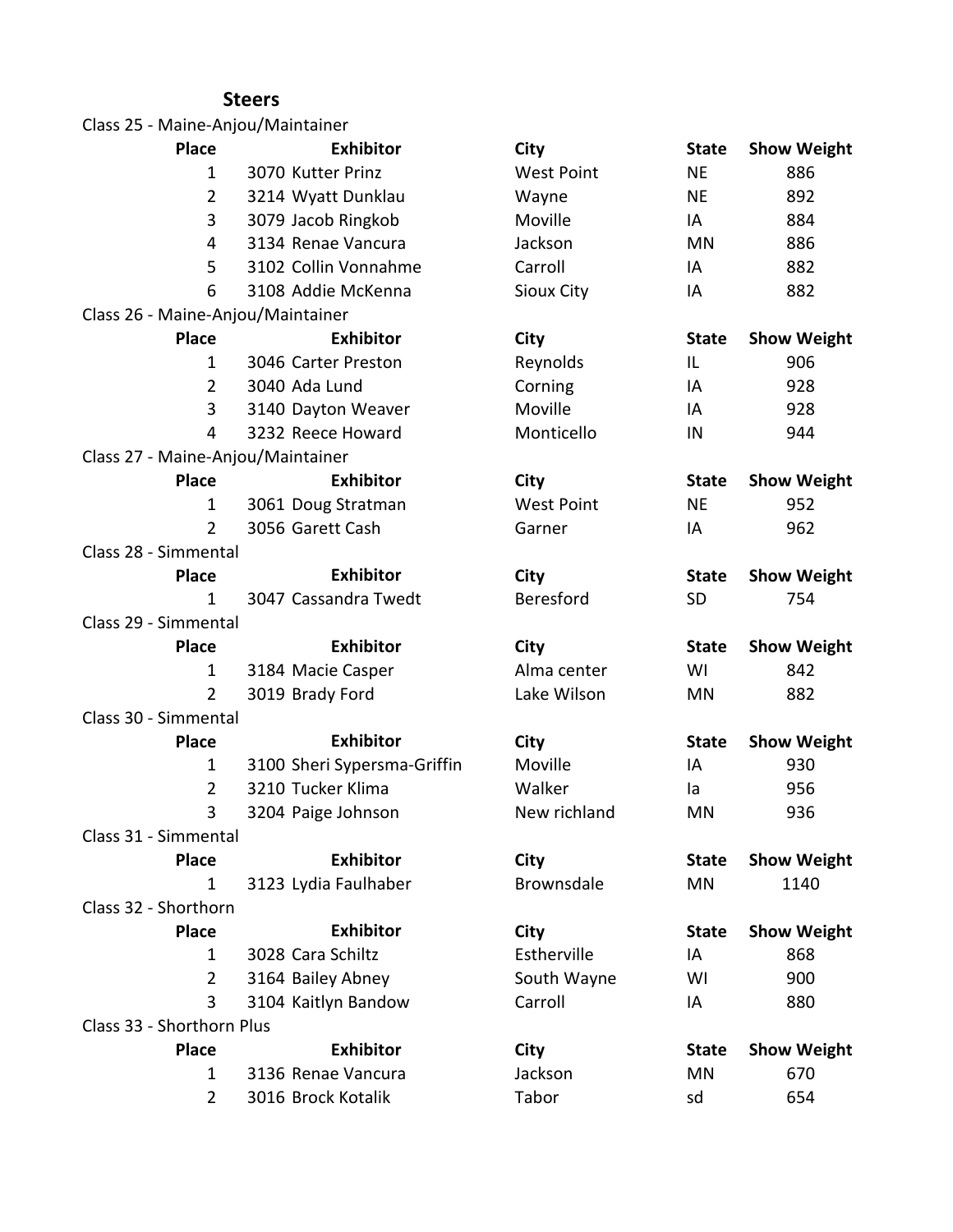| Class 25 - Maine-Anjou/Maintainer |                             |                   |              |                    |
|-----------------------------------|-----------------------------|-------------------|--------------|--------------------|
| <b>Place</b>                      | <b>Exhibitor</b>            | City              | <b>State</b> | <b>Show Weight</b> |
| $\mathbf{1}$                      | 3070 Kutter Prinz           | <b>West Point</b> | <b>NE</b>    | 886                |
| $\overline{2}$                    | 3214 Wyatt Dunklau          | Wayne             | <b>NE</b>    | 892                |
| 3                                 | 3079 Jacob Ringkob          | Moville           | IA           | 884                |
| 4                                 | 3134 Renae Vancura          | Jackson           | MN           | 886                |
| 5                                 | 3102 Collin Vonnahme        | Carroll           | IA           | 882                |
| 6                                 | 3108 Addie McKenna          | <b>Sioux City</b> | IA           | 882                |
| Class 26 - Maine-Anjou/Maintainer |                             |                   |              |                    |
| <b>Place</b>                      | <b>Exhibitor</b>            | <b>City</b>       | <b>State</b> | <b>Show Weight</b> |
| $\mathbf{1}$                      | 3046 Carter Preston         | Reynolds          | IL           | 906                |
| $\overline{2}$                    | 3040 Ada Lund               | Corning           | IA           | 928                |
| 3                                 | 3140 Dayton Weaver          | Moville           | IA           | 928                |
| 4                                 | 3232 Reece Howard           | Monticello        | IN           | 944                |
| Class 27 - Maine-Anjou/Maintainer |                             |                   |              |                    |
| <b>Place</b>                      | <b>Exhibitor</b>            | City              | <b>State</b> | <b>Show Weight</b> |
| 1                                 | 3061 Doug Stratman          | <b>West Point</b> | <b>NE</b>    | 952                |
| $\overline{2}$                    | 3056 Garett Cash            | Garner            | IA           | 962                |
| Class 28 - Simmental              |                             |                   |              |                    |
| <b>Place</b>                      | <b>Exhibitor</b>            | City              | <b>State</b> | <b>Show Weight</b> |
| $\mathbf{1}$                      | 3047 Cassandra Twedt        | Beresford         | <b>SD</b>    | 754                |
| Class 29 - Simmental              |                             |                   |              |                    |
| <b>Place</b>                      | <b>Exhibitor</b>            | City              | <b>State</b> | <b>Show Weight</b> |
| 1                                 | 3184 Macie Casper           | Alma center       | WI           | 842                |
| $\overline{2}$                    | 3019 Brady Ford             | Lake Wilson       | MN           | 882                |
| Class 30 - Simmental              |                             |                   |              |                    |
| <b>Place</b>                      | <b>Exhibitor</b>            | <b>City</b>       | <b>State</b> | <b>Show Weight</b> |
| 1                                 | 3100 Sheri Sypersma-Griffin | Moville           | IA           | 930                |
| $\overline{2}$                    | 3210 Tucker Klima           | Walker            | la           | 956                |
| 3                                 | 3204 Paige Johnson          | New richland      | ΜN           | 936                |
| Class 31 - Simmental              |                             |                   |              |                    |
| <b>Place</b>                      | <b>Exhibitor</b>            | City              | <b>State</b> | <b>Show Weight</b> |
| $\mathbf{1}$                      | 3123 Lydia Faulhaber        | Brownsdale        | MN           | 1140               |
| Class 32 - Shorthorn              |                             |                   |              |                    |
| <b>Place</b>                      | <b>Exhibitor</b>            | City              | <b>State</b> | <b>Show Weight</b> |
| $\mathbf{1}$                      | 3028 Cara Schiltz           | Estherville       | IA           | 868                |
| $\overline{2}$                    | 3164 Bailey Abney           | South Wayne       | WI           | 900                |
| 3                                 | 3104 Kaitlyn Bandow         | Carroll           | IA           | 880                |
| Class 33 - Shorthorn Plus         |                             |                   |              |                    |
| <b>Place</b>                      | <b>Exhibitor</b>            | <b>City</b>       | <b>State</b> | <b>Show Weight</b> |
| $\mathbf{1}$                      | 3136 Renae Vancura          | Jackson           | MN           | 670                |
| $\overline{2}$                    | 3016 Brock Kotalik          | Tabor             | sd           | 654                |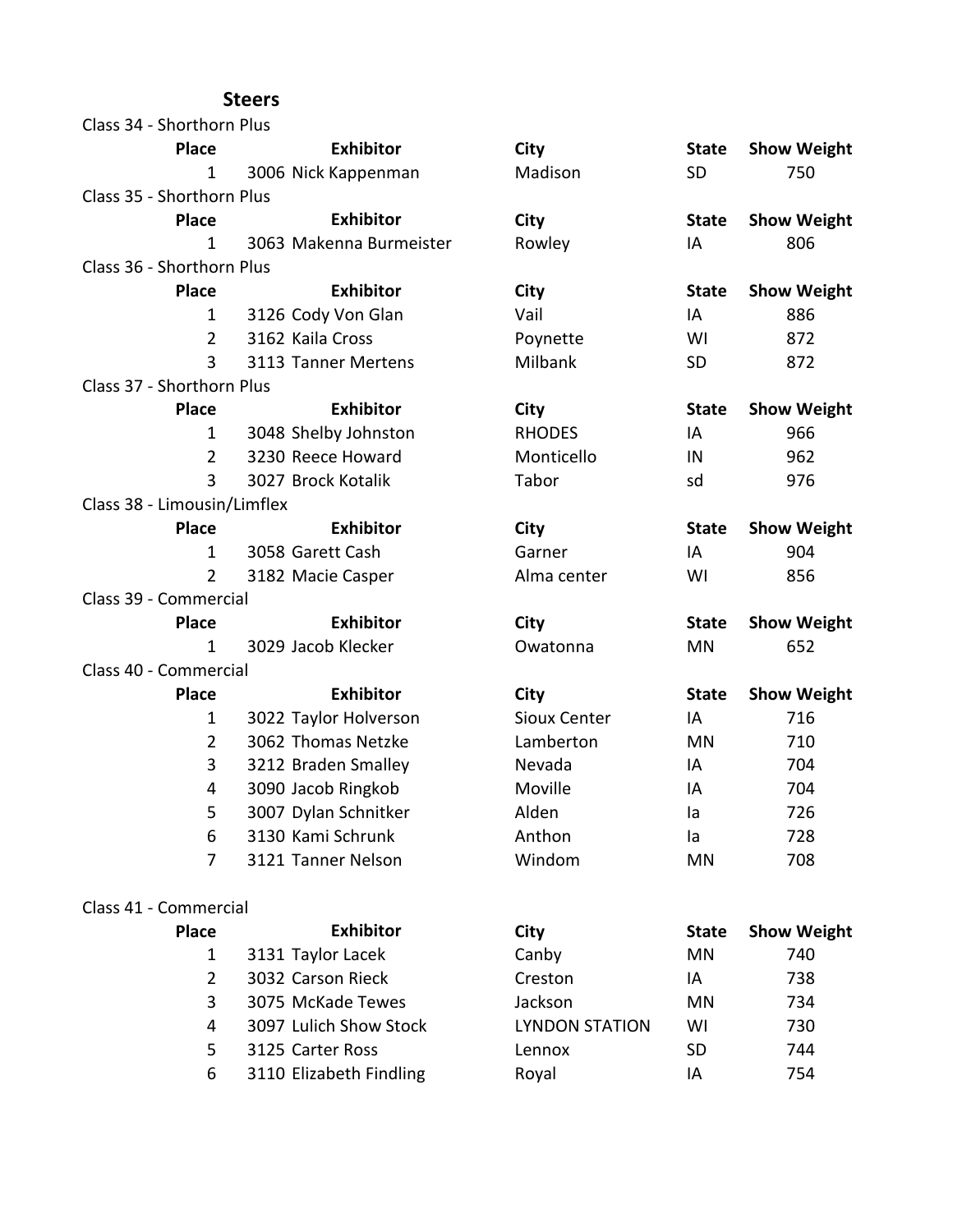| Class 34 - Shorthorn Plus   |                         |                       |              |                    |
|-----------------------------|-------------------------|-----------------------|--------------|--------------------|
| <b>Place</b>                | <b>Exhibitor</b>        | City                  | <b>State</b> | <b>Show Weight</b> |
| 1                           | 3006 Nick Kappenman     | Madison               | <b>SD</b>    | 750                |
| Class 35 - Shorthorn Plus   |                         |                       |              |                    |
| <b>Place</b>                | <b>Exhibitor</b>        | City                  | <b>State</b> | <b>Show Weight</b> |
| $\mathbf{1}$                | 3063 Makenna Burmeister | Rowley                | IA           | 806                |
| Class 36 - Shorthorn Plus   |                         |                       |              |                    |
| <b>Place</b>                | <b>Exhibitor</b>        | City                  | <b>State</b> | <b>Show Weight</b> |
| $\mathbf{1}$                | 3126 Cody Von Glan      | Vail                  | IA           | 886                |
| $\overline{2}$              | 3162 Kaila Cross        | Poynette              | WI           | 872                |
| 3                           | 3113 Tanner Mertens     | Milbank               | <b>SD</b>    | 872                |
| Class 37 - Shorthorn Plus   |                         |                       |              |                    |
| <b>Place</b>                | <b>Exhibitor</b>        | City                  | <b>State</b> | <b>Show Weight</b> |
| 1                           | 3048 Shelby Johnston    | <b>RHODES</b>         | IA           | 966                |
| $\overline{2}$              | 3230 Reece Howard       | Monticello            | IN           | 962                |
| 3                           | 3027 Brock Kotalik      | Tabor                 | sd           | 976                |
| Class 38 - Limousin/Limflex |                         |                       |              |                    |
| <b>Place</b>                | <b>Exhibitor</b>        | City                  | <b>State</b> | <b>Show Weight</b> |
| $\mathbf{1}$                | 3058 Garett Cash        | Garner                | IA           | 904                |
| 2                           | 3182 Macie Casper       | Alma center           | WI           | 856                |
| Class 39 - Commercial       |                         |                       |              |                    |
| <b>Place</b>                | <b>Exhibitor</b>        | <b>City</b>           | <b>State</b> | <b>Show Weight</b> |
| 1                           | 3029 Jacob Klecker      | Owatonna              | MN           | 652                |
| Class 40 - Commercial       |                         |                       |              |                    |
| <b>Place</b>                | <b>Exhibitor</b>        | City                  | <b>State</b> | <b>Show Weight</b> |
| 1                           | 3022 Taylor Holverson   | Sioux Center          | IA           | 716                |
| $\overline{2}$              | 3062 Thomas Netzke      | Lamberton             | <b>MN</b>    | 710                |
| 3                           | 3212 Braden Smalley     | Nevada                | IA           | 704                |
| 4                           | 3090 Jacob Ringkob      | Moville               | IA           | 704                |
| 5                           | 3007 Dylan Schnitker    | Alden                 | la           | 726                |
| 6                           | 3130 Kami Schrunk       | Anthon                | la           | 728                |
| 7                           | 3121 Tanner Nelson      | Windom                | MN           | 708                |
| Class 41 - Commercial       |                         |                       |              |                    |
| <b>Place</b>                | <b>Exhibitor</b>        | City                  | <b>State</b> | <b>Show Weight</b> |
| 1                           | 3131 Taylor Lacek       | Canby                 | MN           | 740                |
| $\overline{2}$              | 3032 Carson Rieck       | Creston               | IA           | 738                |
| 3                           | 3075 McKade Tewes       | Jackson               | MN           | 734                |
| 4                           | 3097 Lulich Show Stock  | <b>LYNDON STATION</b> | WI           | 730                |
| 5                           | 3125 Carter Ross        | Lennox                | <b>SD</b>    | 744                |
| 6                           | 3110 Elizabeth Findling | Royal                 | ΙA           | 754                |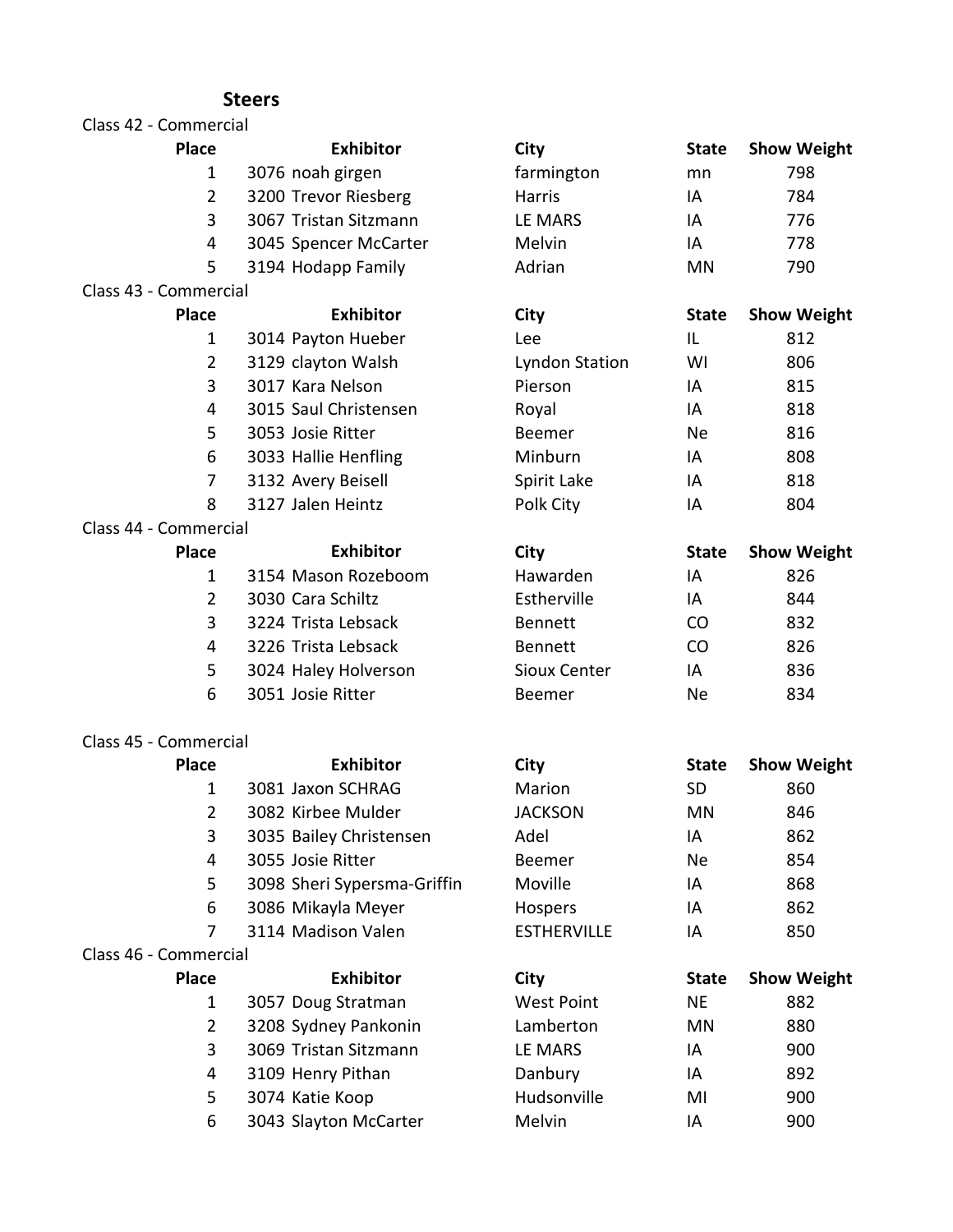#### Class 42 - Commercial

#### **Place City State Show Weight**

- 1 3076 noah girgen farmington mn 798
- 2 3200 Trevor Riesberg Harris Harris IA 784
- 3 3067 Tristan Sitzmann LE MARS 11 11 11 1776
- 4 3045 Spencer McCarter Melvin IA 778

**Exhibitor**

5 3194 Hodapp Family **Adrian** MN 790

#### Class 43 - Commercial

| <b>Exhibitor</b>                    | City           |    | <b>State</b> Show Weight |
|-------------------------------------|----------------|----|--------------------------|
| 3014 Payton Hueber                  | Lee            |    | 812                      |
| 3129 clayton Walsh<br>$\mathcal{P}$ | Lyndon Station | WI | 806                      |
| 3017 Kara Nelson                    | Pierson        | IΑ | 815                      |
|                                     |                |    |                          |

- 4 3015 Saul Christensen Royal IA 818
- 5 3053 Josie Ritter **Beemer** Ne 816
- 6 3033 Hallie Henfling Minburn IA 808
- 7 3132 Avery Beisell Spirit Lake IA 818
- 8 3127 Jalen Heintz **Polk City IA** 804

#### Class 44 - Commercial

| <b>Place</b> | <b>Exhibitor</b>     | City           | <b>State</b> | <b>Show We</b> |
|--------------|----------------------|----------------|--------------|----------------|
|              | 3154 Mason Rozeboom  | Hawarden       | ΙA           | 826            |
|              | 3030 Cara Schiltz    | Estherville    | ΙA           | 844            |
|              | 3224 Trista Lebsack  | <b>Bennett</b> | CO           | 832            |
| 4            | 3226 Trista Lebsack  | <b>Bennett</b> | CO.          | 826            |
|              | 3024 Haley Holverson | Sioux Center   | ΙA           | 836            |
| 6            | 3051 Josie Ritter    | <b>Beemer</b>  | Ne           | 834            |

#### Class 45 - Commercial

#### **Place City State Show Weight** 1 3081 Jaxon SCHRAG Marion SD 860 2 3082 Kirbee Mulder JACKSON MN 846 3 3035 Bailey Christensen Adel IA 862 4 3055 Josie Ritter Beemer Ne 854 5 3098 Sheri Sypersma-Griffin Moville IA 868 6 3086 Mikayla Meyer Hospers IA 862 7 3114 Madison Valen ESTHERVILLE IA 850 Class 46 - Commercial **Place City State Show Weight** 1 3057 Doug Stratman West Point NE 882 2 3208 Sydney Pankonin Lamberton MN 880 3 3069 Tristan Sitzmann LE MARS 11 LA 900 4 3109 Henry Pithan **Danbury Communist Communist Communist Communist Communist Communist Communist Communist Communist Communist Communist Communist Communist Communist Communist Communist Communist Communist Communist Com** 5 3074 Katie Koop Hudsonville MI 900 6 3043 Slayton McCarter Melvin IA 900 **Exhibitor Exhibitor**

**State Show Weight**